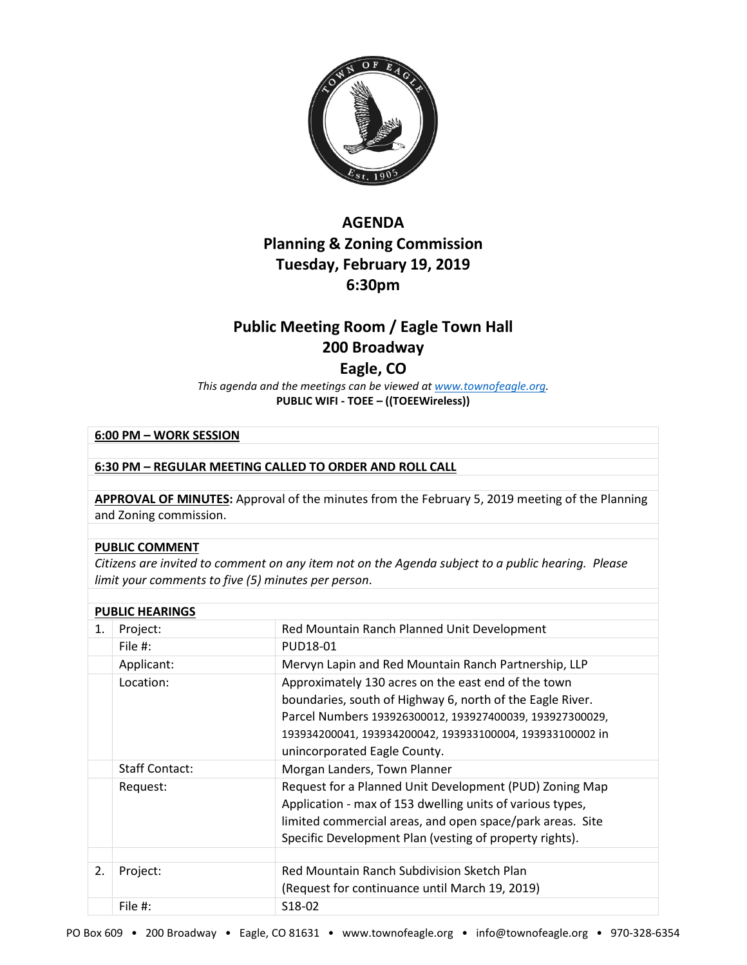

# **AGENDA Planning & Zoning Commission Tuesday, February 19, 2019 6:30pm**

# **Public Meeting Room / Eagle Town Hall 200 Broadway**

## **Eagle, CO**

*This agenda and the meetings can be viewed a[t www.townofeagle.org.](http://www.townofeagle.org/)*  **PUBLIC WIFI - TOEE – ((TOEEWireless))**

### **6:00 PM – WORK SESSION**

### **6:30 PM – REGULAR MEETING CALLED TO ORDER AND ROLL CALL**

**APPROVAL OF MINUTES:** Approval of the minutes from the February 5, 2019 meeting of the Planning and Zoning commission.

#### **PUBLIC COMMENT**

*Citizens are invited to comment on any item not on the Agenda subject to a public hearing. Please limit your comments to five (5) minutes per person*.

| <b>PUBLIC HEARINGS</b> |                       |                                                                                                                                                                                                                                                                           |  |
|------------------------|-----------------------|---------------------------------------------------------------------------------------------------------------------------------------------------------------------------------------------------------------------------------------------------------------------------|--|
| 1.                     | Project:              | Red Mountain Ranch Planned Unit Development                                                                                                                                                                                                                               |  |
|                        | File #:               | PUD18-01                                                                                                                                                                                                                                                                  |  |
|                        | Applicant:            | Mervyn Lapin and Red Mountain Ranch Partnership, LLP                                                                                                                                                                                                                      |  |
|                        | Location:             | Approximately 130 acres on the east end of the town<br>boundaries, south of Highway 6, north of the Eagle River.<br>Parcel Numbers 193926300012, 193927400039, 193927300029,<br>193934200041, 193934200042, 193933100004, 193933100002 in<br>unincorporated Eagle County. |  |
|                        | <b>Staff Contact:</b> | Morgan Landers, Town Planner                                                                                                                                                                                                                                              |  |
|                        | Request:              | Request for a Planned Unit Development (PUD) Zoning Map<br>Application - max of 153 dwelling units of various types,<br>limited commercial areas, and open space/park areas. Site<br>Specific Development Plan (vesting of property rights).                              |  |
|                        |                       |                                                                                                                                                                                                                                                                           |  |
| 2.                     | Project:              | Red Mountain Ranch Subdivision Sketch Plan<br>(Request for continuance until March 19, 2019)                                                                                                                                                                              |  |
|                        | File #:               | S <sub>18</sub> -02                                                                                                                                                                                                                                                       |  |